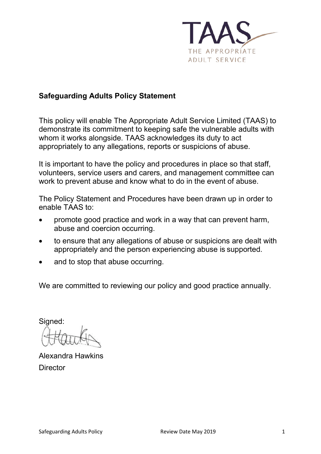

### **Safeguarding Adults Policy Statement**

This policy will enable The Appropriate Adult Service Limited (TAAS) to demonstrate its commitment to keeping safe the vulnerable adults with whom it works alongside. TAAS acknowledges its duty to act appropriately to any allegations, reports or suspicions of abuse.

It is important to have the policy and procedures in place so that staff, volunteers, service users and carers, and management committee can work to prevent abuse and know what to do in the event of abuse.

The Policy Statement and Procedures have been drawn up in order to enable TAAS to:

- promote good practice and work in a way that can prevent harm, abuse and coercion occurring.
- to ensure that any allegations of abuse or suspicions are dealt with appropriately and the person experiencing abuse is supported.
- and to stop that abuse occurring.

We are committed to reviewing our policy and good practice annually.

Signed:

Alexandra Hawkins **Director**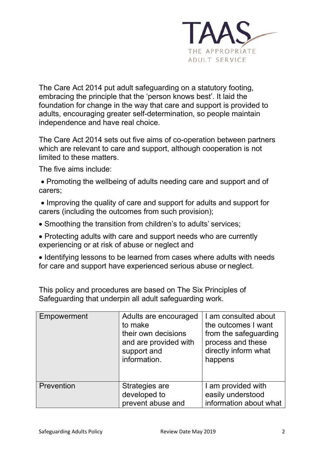

The Care Act 2014 put adult safeguarding on a statutory footing, embracing the principle that the 'person knows best'. It laid the foundation for change in the way that care and support is provided to adults, encouraging greater self-determination, so people maintain independence and have real choice.

The Care Act 2014 sets out five aims of co-operation between partners which are relevant to care and support, although cooperation is not limited to these matters.

The five aims include:

- Promoting the wellbeing of adults needing care and support and of carers;
- Improving the quality of care and support for adults and support for carers (including the outcomes from such provision);
- Smoothing the transition from children's to adults' services;
- Protecting adults with care and support needs who are currently experiencing or at risk of abuse or neglect and
- Identifying lessons to be learned from cases where adults with needs for care and support have experienced serious abuse or neglect.

This policy and procedures are based on The Six Principles of Safeguarding that underpin all adult safeguarding work.

| Empowerment | Adults are encouraged<br>to make<br>their own decisions<br>and are provided with<br>support and<br>information. | I am consulted about<br>the outcomes I want<br>from the safeguarding<br>process and these<br>directly inform what<br>happens |
|-------------|-----------------------------------------------------------------------------------------------------------------|------------------------------------------------------------------------------------------------------------------------------|
| Prevention  | Strategies are<br>developed to<br>prevent abuse and                                                             | I am provided with<br>easily understood<br>information about what                                                            |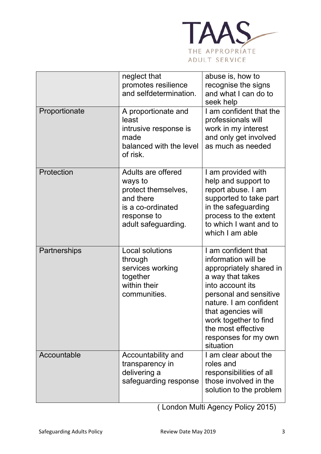

|               | neglect that<br>promotes resilience<br>and selfdetermination.                                                                | abuse is, how to<br>recognise the signs<br>and what I can do to<br>seek help                                                                                                                                                                                                |
|---------------|------------------------------------------------------------------------------------------------------------------------------|-----------------------------------------------------------------------------------------------------------------------------------------------------------------------------------------------------------------------------------------------------------------------------|
| Proportionate | A proportionate and<br>least<br>intrusive response is<br>made<br>balanced with the level<br>of risk.                         | I am confident that the<br>professionals will<br>work in my interest<br>and only get involved<br>as much as needed                                                                                                                                                          |
| Protection    | Adults are offered<br>ways to<br>protect themselves,<br>and there<br>is a co-ordinated<br>response to<br>adult safeguarding. | I am provided with<br>help and support to<br>report abuse. I am<br>supported to take part<br>in the safeguarding<br>process to the extent<br>to which I want and to<br>which I am able                                                                                      |
| Partnerships  | Local solutions<br>through<br>services working<br>together<br>within their<br>communities.                                   | I am confident that<br>information will be<br>appropriately shared in<br>a way that takes<br>into account its<br>personal and sensitive<br>nature. I am confident<br>that agencies will<br>work together to find<br>the most effective<br>responses for my own<br>situation |
| Accountable   | Accountability and<br>transparency in<br>delivering a<br>safeguarding response                                               | I am clear about the<br>roles and<br>responsibilities of all<br>those involved in the<br>solution to the problem                                                                                                                                                            |

( London Multi Agency Policy 2015)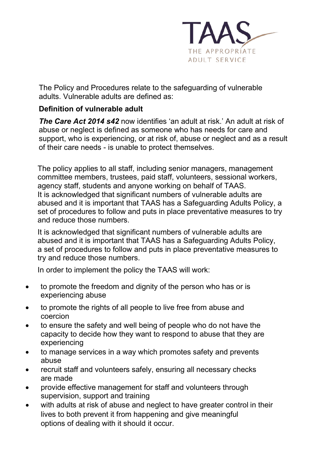

The Policy and Procedures relate to the safeguarding of vulnerable adults. Vulnerable adults are defined as:

# **Definition of vulnerable adult**

*The Care Act 2014 s42* now identifies 'an adult at risk.' An adult at risk of abuse or neglect is defined as someone who has needs for care and support, who is experiencing, or at risk of, abuse or neglect and as a result of their care needs - is unable to protect themselves.

The policy applies to all staff, including senior managers, management committee members, trustees, paid staff, volunteers, sessional workers, agency staff, students and anyone working on behalf of TAAS. It is acknowledged that significant numbers of vulnerable adults are abused and it is important that TAAS has a Safeguarding Adults Policy, a set of procedures to follow and puts in place preventative measures to try and reduce those numbers.

It is acknowledged that significant numbers of vulnerable adults are abused and it is important that TAAS has a Safeguarding Adults Policy, a set of procedures to follow and puts in place preventative measures to try and reduce those numbers.

In order to implement the policy the TAAS will work:

- to promote the freedom and dignity of the person who has or is experiencing abuse
- to promote the rights of all people to live free from abuse and coercion
- to ensure the safety and well being of people who do not have the capacity to decide how they want to respond to abuse that they are experiencing
- to manage services in a way which promotes safety and prevents abuse
- recruit staff and volunteers safely, ensuring all necessary checks are made
- provide effective management for staff and volunteers through supervision, support and training
- with adults at risk of abuse and neglect to have greater control in their lives to both prevent it from happening and give meaningful options of dealing with it should it occur.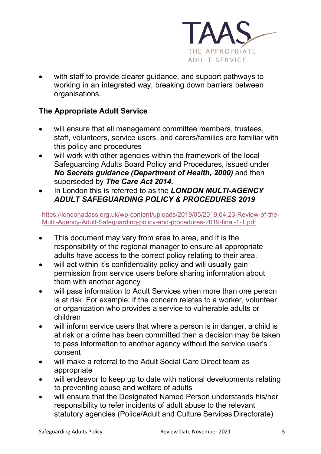

with staff to provide clearer guidance, and support pathways to working in an integrated way, breaking down barriers between organisations.

# **The Appropriate Adult Service**

- will ensure that all management committee members, trustees, staff, volunteers, service users, and carers/families are familiar with this policy and procedures
- will work with other agencies within the framework of the local Safeguarding Adults Board Policy and Procedures, issued under *No Secrets guidance (Department of Health, 2000)* and then superseded by *The Care Act 2014.*
- In London this is referred to as the *LONDON MULTI-AGENCY ADULT SAFEGUARDING POLICY & PROCEDURES 2019*

[https://londonadass.org.uk/wp-content/uploads/2019/05/2019.04.23-Review-of-the-](https://londonadass.org.uk/wp-content/uploads/2019/05/2019.04.23-Review-of-the-Multi-Agency-Adult-Safeguarding-policy-and-procedures-2019-final-1-1.pdf)[Multi-Agency-Adult-Safeguarding-policy-and-procedures-2019-final-1-1.pdf](https://londonadass.org.uk/wp-content/uploads/2019/05/2019.04.23-Review-of-the-Multi-Agency-Adult-Safeguarding-policy-and-procedures-2019-final-1-1.pdf)

- This document may vary from area to area, and it is the responsibility of the regional manager to ensure all appropriate adults have access to the correct policy relating to their area.
- will act within it's confidentiality policy and will usually gain permission from service users before sharing information about them with another agency
- will pass information to Adult Services when more than one person is at risk. For example: if the concern relates to a worker, volunteer or organization who provides a service to vulnerable adults or children
- will inform service users that where a person is in danger, a child is at risk or a crime has been committed then a decision may be taken to pass information to another agency without the service user's consent
- will make a referral to the Adult Social Care Direct team as appropriate
- will endeavor to keep up to date with national developments relating to preventing abuse and welfare of adults
- will ensure that the Designated Named Person understands his/her responsibility to refer incidents of adult abuse to the relevant statutory agencies (Police/Adult and Culture Services Directorate)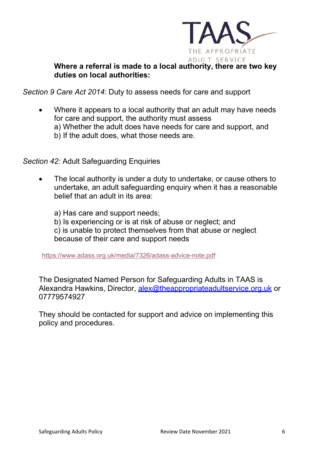

#### **Where a referral is made to a local authority, there are two key duties on local authorities:**

*Section 9 Care Act 2014*: Duty to assess needs for care and support

• Where it appears to a local authority that an adult may have needs for care and support, the authority must assess a) Whether the adult does have needs for care and support, and b) If the adult does, what those needs are.

*Section 42:* Adult Safeguarding Enquiries

• The local authority is under a duty to undertake, or cause others to undertake, an adult safeguarding enquiry when it has a reasonable belief that an adult in its area:

a) Has care and support needs;

- b) Is experiencing or is at risk of abuse or neglect; and
- c) is unable to protect themselves from that abuse or neglect

because of their care and support needs

<https://www.adass.org.uk/media/7326/adass-advice-note.pdf>

The Designated Named Person for Safeguarding Adults in TAAS is Alexandra Hawkins, Director, [alex@theappropriateadultservice.org.uk](mailto:alex@theappropriateadultservice.org.uk) or 07779574927

They should be contacted for support and advice on implementing this policy and procedures.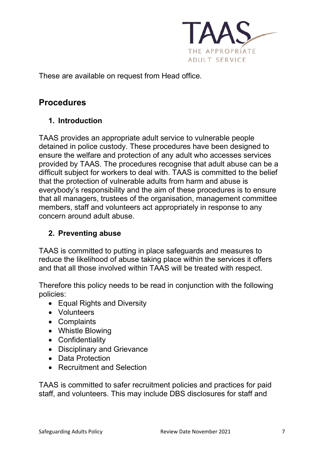

These are available on request from Head office.

# **Procedures**

# **1. Introduction**

TAAS provides an appropriate adult service to vulnerable people detained in police custody. These procedures have been designed to ensure the welfare and protection of any adult who accesses services provided by TAAS. The procedures recognise that adult abuse can be a difficult subject for workers to deal with. TAAS is committed to the belief that the protection of vulnerable adults from harm and abuse is everybody's responsibility and the aim of these procedures is to ensure that all managers, trustees of the organisation, management committee members, staff and volunteers act appropriately in response to any concern around adult abuse.

### **2. Preventing abuse**

TAAS is committed to putting in place safeguards and measures to reduce the likelihood of abuse taking place within the services it offers and that all those involved within TAAS will be treated with respect.

Therefore this policy needs to be read in conjunction with the following policies:

- Equal Rights and Diversity
- Volunteers
- Complaints
- Whistle Blowing
- Confidentiality
- Disciplinary and Grievance
- Data Protection
- Recruitment and Selection

TAAS is committed to safer recruitment policies and practices for paid staff, and volunteers. This may include DBS disclosures for staff and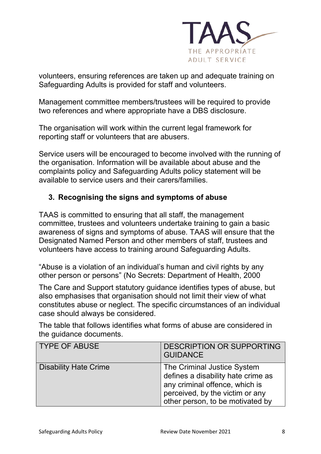

volunteers, ensuring references are taken up and adequate training on Safeguarding Adults is provided for staff and volunteers.

Management committee members/trustees will be required to provide two references and where appropriate have a DBS disclosure.

The organisation will work within the current legal framework for reporting staff or volunteers that are abusers.

Service users will be encouraged to become involved with the running of the organisation. Information will be available about abuse and the complaints policy and Safeguarding Adults policy statement will be available to service users and their carers/families.

# **3. Recognising the signs and symptoms of abuse**

TAAS is committed to ensuring that all staff, the management committee, trustees and volunteers undertake training to gain a basic awareness of signs and symptoms of abuse. TAAS will ensure that the Designated Named Person and other members of staff, trustees and volunteers have access to training around Safeguarding Adults.

"Abuse is a violation of an individual's human and civil rights by any other person or persons" (No Secrets: Department of Health, 2000

The Care and Support statutory guidance identifies types of abuse, but also emphasises that organisation should not limit their view of what constitutes abuse or neglect. The specific circumstances of an individual case should always be considered.

The table that follows identifies what forms of abuse are considered in the guidance documents.

| <b>TYPE OF ABUSE</b>         | <b>DESCRIPTION OR SUPPORTING</b><br><b>GUIDANCE</b>                                                                                                                        |
|------------------------------|----------------------------------------------------------------------------------------------------------------------------------------------------------------------------|
| <b>Disability Hate Crime</b> | The Criminal Justice System<br>defines a disability hate crime as<br>any criminal offence, which is<br>perceived, by the victim or any<br>other person, to be motivated by |
|                              |                                                                                                                                                                            |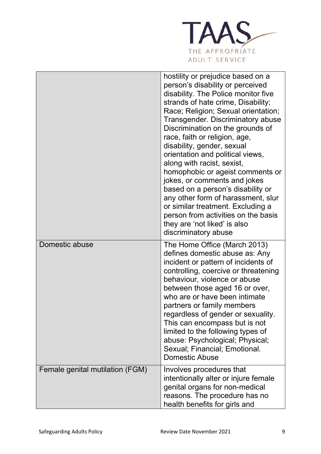

|                                 | hostility or prejudice based on a<br>person's disability or perceived<br>disability. The Police monitor five<br>strands of hate crime, Disability;<br>Race; Religion; Sexual orientation;<br><b>Transgender. Discriminatory abuse</b><br>Discrimination on the grounds of<br>race, faith or religion, age,<br>disability, gender, sexual<br>orientation and political views,<br>along with racist, sexist,<br>homophobic or ageist comments or<br>jokes, or comments and jokes<br>based on a person's disability or<br>any other form of harassment, slur<br>or similar treatment. Excluding a<br>person from activities on the basis<br>they are 'not liked' is also<br>discriminatory abuse |
|---------------------------------|-----------------------------------------------------------------------------------------------------------------------------------------------------------------------------------------------------------------------------------------------------------------------------------------------------------------------------------------------------------------------------------------------------------------------------------------------------------------------------------------------------------------------------------------------------------------------------------------------------------------------------------------------------------------------------------------------|
| Domestic abuse                  | The Home Office (March 2013)<br>defines domestic abuse as: Any<br>incident or pattern of incidents of<br>controlling, coercive or threatening<br>behaviour, violence or abuse<br>between those aged 16 or over,<br>who are or have been intimate<br>partners or family members<br>regardless of gender or sexuality.<br>This can encompass but is not<br>limited to the following types of<br>abuse: Psychological; Physical;<br>Sexual; Financial; Emotional.<br><b>Domestic Abuse</b>                                                                                                                                                                                                       |
| Female genital mutilation (FGM) | Involves procedures that<br>intentionally alter or injure female<br>genital organs for non-medical<br>reasons. The procedure has no<br>health benefits for girls and                                                                                                                                                                                                                                                                                                                                                                                                                                                                                                                          |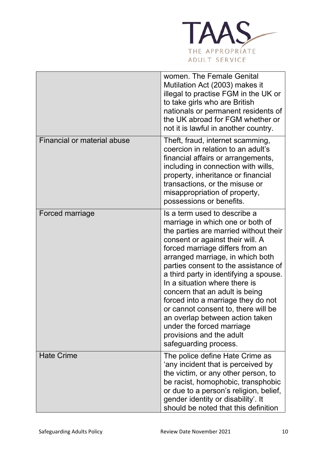

|                                    | women. The Female Genital<br>Mutilation Act (2003) makes it<br>illegal to practise FGM in the UK or<br>to take girls who are British<br>nationals or permanent residents of<br>the UK abroad for FGM whether or<br>not it is lawful in another country.                                                                                                                                                                                                                                                                                                                     |
|------------------------------------|-----------------------------------------------------------------------------------------------------------------------------------------------------------------------------------------------------------------------------------------------------------------------------------------------------------------------------------------------------------------------------------------------------------------------------------------------------------------------------------------------------------------------------------------------------------------------------|
| <b>Financial or material abuse</b> | Theft, fraud, internet scamming,<br>coercion in relation to an adult's<br>financial affairs or arrangements,<br>including in connection with wills,<br>property, inheritance or financial<br>transactions, or the misuse or<br>misappropriation of property,<br>possessions or benefits.                                                                                                                                                                                                                                                                                    |
| Forced marriage                    | Is a term used to describe a<br>marriage in which one or both of<br>the parties are married without their<br>consent or against their will. A<br>forced marriage differs from an<br>arranged marriage, in which both<br>parties consent to the assistance of<br>a third party in identifying a spouse.<br>In a situation where there is<br>concern that an adult is being<br>forced into a marriage they do not<br>or cannot consent to, there will be<br>an overlap between action taken<br>under the forced marriage<br>provisions and the adult<br>safeguarding process. |
| <b>Hate Crime</b>                  | The police define Hate Crime as<br>'any incident that is perceived by<br>the victim, or any other person, to<br>be racist, homophobic, transphobic<br>or due to a person's religion, belief,<br>gender identity or disability'. It<br>should be noted that this definition                                                                                                                                                                                                                                                                                                  |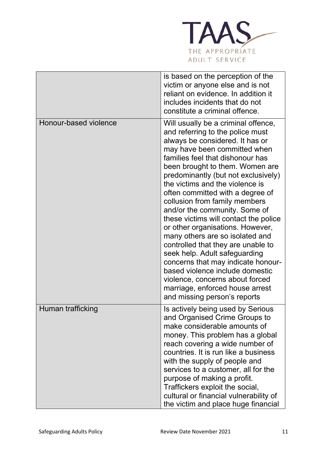

|                       | is based on the perception of the<br>victim or anyone else and is not<br>reliant on evidence. In addition it<br>includes incidents that do not<br>constitute a criminal offence.                                                                                                                                                                                                                                                                                                                                                                                                                                                                                                                                                                                        |
|-----------------------|-------------------------------------------------------------------------------------------------------------------------------------------------------------------------------------------------------------------------------------------------------------------------------------------------------------------------------------------------------------------------------------------------------------------------------------------------------------------------------------------------------------------------------------------------------------------------------------------------------------------------------------------------------------------------------------------------------------------------------------------------------------------------|
| Honour-based violence | Will usually be a criminal offence,<br>and referring to the police must<br>always be considered. It has or<br>may have been committed when<br>families feel that dishonour has<br>been brought to them. Women are<br>predominantly (but not exclusively)<br>the victims and the violence is<br>often committed with a degree of<br>collusion from family members<br>and/or the community. Some of<br>these victims will contact the police<br>or other organisations. However,<br>many others are so isolated and<br>controlled that they are unable to<br>seek help. Adult safeguarding<br>concerns that may indicate honour-<br>based violence include domestic<br>violence, concerns about forced<br>marriage, enforced house arrest<br>and missing person's reports |
| Human trafficking     | Is actively being used by Serious<br>and Organised Crime Groups to<br>make considerable amounts of<br>money. This problem has a global<br>reach covering a wide number of<br>countries. It is run like a business<br>with the supply of people and<br>services to a customer, all for the<br>purpose of making a profit.<br>Traffickers exploit the social,<br>cultural or financial vulnerability of<br>the victim and place huge financial                                                                                                                                                                                                                                                                                                                            |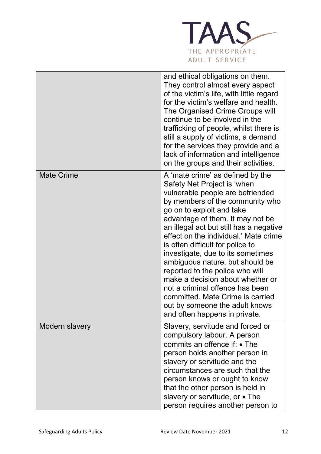

|                   | and ethical obligations on them.<br>They control almost every aspect<br>of the victim's life, with little regard<br>for the victim's welfare and health.<br>The Organised Crime Groups will<br>continue to be involved in the<br>trafficking of people, whilst there is<br>still a supply of victims, a demand<br>for the services they provide and a<br>lack of information and intelligence<br>on the groups and their activities.                                                                                                                                                                                     |
|-------------------|--------------------------------------------------------------------------------------------------------------------------------------------------------------------------------------------------------------------------------------------------------------------------------------------------------------------------------------------------------------------------------------------------------------------------------------------------------------------------------------------------------------------------------------------------------------------------------------------------------------------------|
| <b>Mate Crime</b> | A 'mate crime' as defined by the<br>Safety Net Project is 'when<br>vulnerable people are befriended<br>by members of the community who<br>go on to exploit and take<br>advantage of them. It may not be<br>an illegal act but still has a negative<br>effect on the individual.' Mate crime<br>is often difficult for police to<br>investigate, due to its sometimes<br>ambiguous nature, but should be<br>reported to the police who will<br>make a decision about whether or<br>not a criminal offence has been<br>committed. Mate Crime is carried<br>out by someone the adult knows<br>and often happens in private. |
| Modern slavery    | Slavery, servitude and forced or<br>compulsory labour. A person<br>commits an offence if: • The<br>person holds another person in<br>slavery or servitude and the<br>circumstances are such that the<br>person knows or ought to know<br>that the other person is held in<br>slavery or servitude, or • The<br>person requires another person to                                                                                                                                                                                                                                                                         |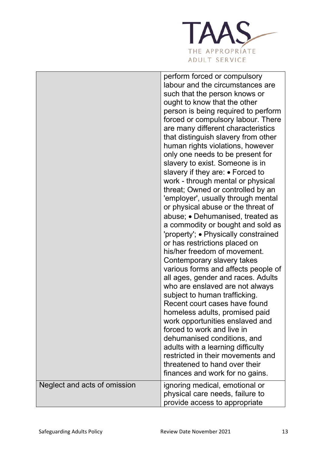

|                              | perform forced or compulsory<br>labour and the circumstances are<br>such that the person knows or<br>ought to know that the other<br>person is being required to perform<br>forced or compulsory labour. There<br>are many different characteristics<br>that distinguish slavery from other<br>human rights violations, however<br>only one needs to be present for<br>slavery to exist. Someone is in<br>slavery if they are: • Forced to<br>work - through mental or physical<br>threat; Owned or controlled by an<br>'employer', usually through mental<br>or physical abuse or the threat of<br>abuse; • Dehumanised, treated as<br>a commodity or bought and sold as<br>'property'; • Physically constrained<br>or has restrictions placed on<br>his/her freedom of movement.<br>Contemporary slavery takes<br>various forms and affects people of<br>all ages, gender and races. Adults<br>who are enslaved are not always<br>subject to human trafficking.<br>Recent court cases have found<br>homeless adults, promised paid<br>work opportunities enslaved and<br>forced to work and live in<br>dehumanised conditions, and<br>adults with a learning difficulty<br>restricted in their movements and<br>threatened to hand over their<br>finances and work for no gains. |
|------------------------------|------------------------------------------------------------------------------------------------------------------------------------------------------------------------------------------------------------------------------------------------------------------------------------------------------------------------------------------------------------------------------------------------------------------------------------------------------------------------------------------------------------------------------------------------------------------------------------------------------------------------------------------------------------------------------------------------------------------------------------------------------------------------------------------------------------------------------------------------------------------------------------------------------------------------------------------------------------------------------------------------------------------------------------------------------------------------------------------------------------------------------------------------------------------------------------------------------------------------------------------------------------------------------------|
| Neglect and acts of omission | ignoring medical, emotional or<br>physical care needs, failure to<br>provide access to appropriate                                                                                                                                                                                                                                                                                                                                                                                                                                                                                                                                                                                                                                                                                                                                                                                                                                                                                                                                                                                                                                                                                                                                                                                 |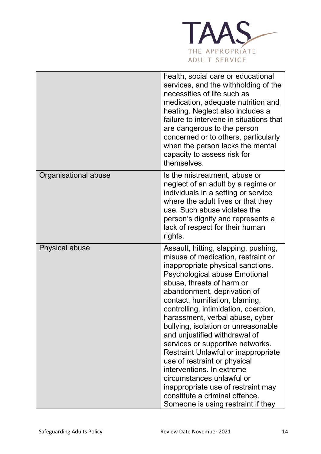

|                       | health, social care or educational<br>services, and the withholding of the<br>necessities of life such as<br>medication, adequate nutrition and<br>heating. Neglect also includes a<br>failure to intervene in situations that<br>are dangerous to the person<br>concerned or to others, particularly<br>when the person lacks the mental<br>capacity to assess risk for<br>themselves.                                                                                                                                                                                                                                                                                                     |
|-----------------------|---------------------------------------------------------------------------------------------------------------------------------------------------------------------------------------------------------------------------------------------------------------------------------------------------------------------------------------------------------------------------------------------------------------------------------------------------------------------------------------------------------------------------------------------------------------------------------------------------------------------------------------------------------------------------------------------|
| Organisational abuse  | Is the mistreatment, abuse or<br>neglect of an adult by a regime or<br>individuals in a setting or service<br>where the adult lives or that they<br>use. Such abuse violates the<br>person's dignity and represents a<br>lack of respect for their human<br>rights.                                                                                                                                                                                                                                                                                                                                                                                                                         |
| <b>Physical abuse</b> | Assault, hitting, slapping, pushing,<br>misuse of medication, restraint or<br>inappropriate physical sanctions.<br><b>Psychological abuse Emotional</b><br>abuse, threats of harm or<br>abandonment, deprivation of<br>contact, humiliation, blaming,<br>controlling, intimidation, coercion,<br>harassment, verbal abuse, cyber<br>bullying, isolation or unreasonable<br>and unjustified withdrawal of<br>services or supportive networks.<br>Restraint Unlawful or inappropriate<br>use of restraint or physical<br>interventions. In extreme<br>circumstances unlawful or<br>inappropriate use of restraint may<br>constitute a criminal offence.<br>Someone is using restraint if they |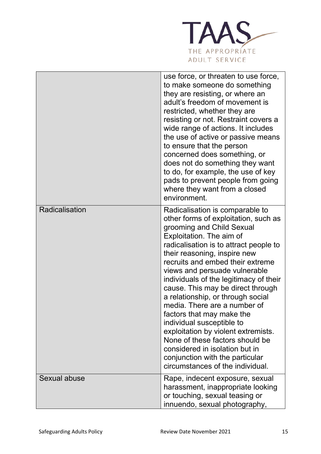

|                | use force, or threaten to use force,<br>to make someone do something<br>they are resisting, or where an<br>adult's freedom of movement is<br>restricted, whether they are<br>resisting or not. Restraint covers a<br>wide range of actions. It includes<br>the use of active or passive means<br>to ensure that the person<br>concerned does something, or<br>does not do something they want<br>to do, for example, the use of key<br>pads to prevent people from going<br>where they want from a closed<br>environment.                                                                                                                                                        |
|----------------|----------------------------------------------------------------------------------------------------------------------------------------------------------------------------------------------------------------------------------------------------------------------------------------------------------------------------------------------------------------------------------------------------------------------------------------------------------------------------------------------------------------------------------------------------------------------------------------------------------------------------------------------------------------------------------|
| Radicalisation | Radicalisation is comparable to<br>other forms of exploitation, such as<br>grooming and Child Sexual<br>Exploitation. The aim of<br>radicalisation is to attract people to<br>their reasoning, inspire new<br>recruits and embed their extreme<br>views and persuade vulnerable<br>individuals of the legitimacy of their<br>cause. This may be direct through<br>a relationship, or through social<br>media. There are a number of<br>factors that may make the<br>individual susceptible to<br>exploitation by violent extremists.<br>None of these factors should be<br>considered in isolation but in<br>conjunction with the particular<br>circumstances of the individual. |
| Sexual abuse   | Rape, indecent exposure, sexual<br>harassment, inappropriate looking<br>or touching, sexual teasing or<br>innuendo, sexual photography,                                                                                                                                                                                                                                                                                                                                                                                                                                                                                                                                          |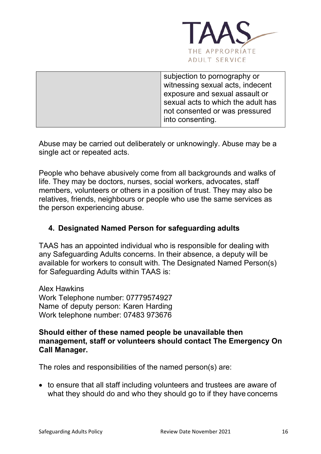

| subjection to pornography or       |
|------------------------------------|
| witnessing sexual acts, indecent   |
| exposure and sexual assault or     |
| sexual acts to which the adult has |
| not consented or was pressured     |
| into consenting.                   |
|                                    |

Abuse may be carried out deliberately or unknowingly. Abuse may be a single act or repeated acts.

People who behave abusively come from all backgrounds and walks of life. They may be doctors, nurses, social workers, advocates, staff members, volunteers or others in a position of trust. They may also be relatives, friends, neighbours or people who use the same services as the person experiencing abuse.

### **4. Designated Named Person for safeguarding adults**

TAAS has an appointed individual who is responsible for dealing with any Safeguarding Adults concerns. In their absence, a deputy will be available for workers to consult with. The Designated Named Person(s) for Safeguarding Adults within TAAS is:

Alex Hawkins Work Telephone number: 07779574927 Name of deputy person: Karen Harding Work telephone number: 07483 973676

#### **Should either of these named people be unavailable then management, staff or volunteers should contact The Emergency On Call Manager.**

The roles and responsibilities of the named person(s) are:

• to ensure that all staff including volunteers and trustees are aware of what they should do and who they should go to if they have concerns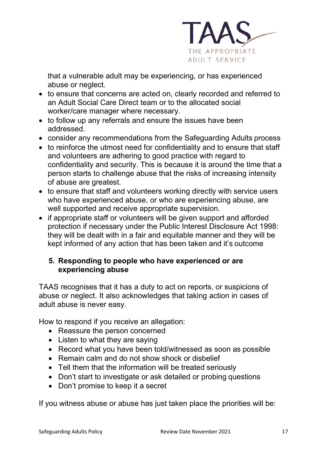

that a vulnerable adult may be experiencing, or has experienced abuse or neglect.

- to ensure that concerns are acted on, clearly recorded and referred to an Adult Social Care Direct team or to the allocated social worker/care manager where necessary.
- to follow up any referrals and ensure the issues have been addressed.
- consider any recommendations from the Safeguarding Adults process
- to reinforce the utmost need for confidentiality and to ensure that staff and volunteers are adhering to good practice with regard to confidentiality and security. This is because it is around the time that a person starts to challenge abuse that the risks of increasing intensity of abuse are greatest.
- to ensure that staff and volunteers working directly with service users who have experienced abuse, or who are experiencing abuse, are well supported and receive appropriate supervision.
- if appropriate staff or volunteers will be given support and afforded protection if necessary under the Public Interest Disclosure Act 1998: they will be dealt with in a fair and equitable manner and they will be kept informed of any action that has been taken and it's outcome

### **5. Responding to people who have experienced or are experiencing abuse**

TAAS recognises that it has a duty to act on reports, or suspicions of abuse or neglect. It also acknowledges that taking action in cases of adult abuse is never easy.

How to respond if you receive an allegation:

- Reassure the person concerned
- Listen to what they are saying
- Record what you have been told/witnessed as soon as possible
- Remain calm and do not show shock or disbelief
- Tell them that the information will be treated seriously
- Don't start to investigate or ask detailed or probing questions
- Don't promise to keep it a secret

If you witness abuse or abuse has just taken place the priorities will be: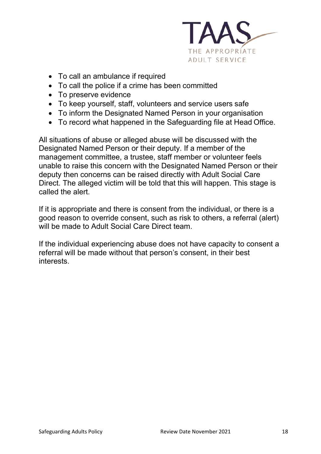

- To call an ambulance if required
- To call the police if a crime has been committed
- To preserve evidence
- To keep yourself, staff, volunteers and service users safe
- To inform the Designated Named Person in your organisation
- To record what happened in the Safeguarding file at Head Office.

All situations of abuse or alleged abuse will be discussed with the Designated Named Person or their deputy. If a member of the management committee, a trustee, staff member or volunteer feels unable to raise this concern with the Designated Named Person or their deputy then concerns can be raised directly with Adult Social Care Direct. The alleged victim will be told that this will happen. This stage is called the alert.

If it is appropriate and there is consent from the individual, or there is a good reason to override consent, such as risk to others, a referral (alert) will be made to Adult Social Care Direct team.

If the individual experiencing abuse does not have capacity to consent a referral will be made without that person's consent, in their best interests.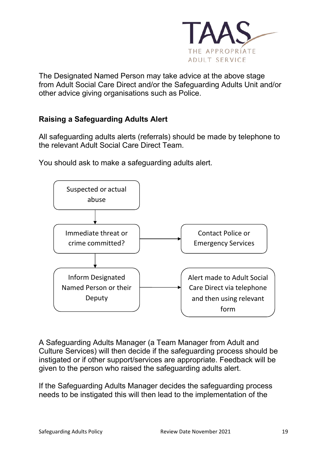

The Designated Named Person may take advice at the above stage from Adult Social Care Direct and/or the Safeguarding Adults Unit and/or other advice giving organisations such as Police.

# **Raising a Safeguarding Adults Alert**

All safeguarding adults alerts (referrals) should be made by telephone to the relevant Adult Social Care Direct Team.

You should ask to make a safeguarding adults alert.



A Safeguarding Adults Manager (a Team Manager from Adult and Culture Services) will then decide if the safeguarding process should be instigated or if other support/services are appropriate. Feedback will be given to the person who raised the safeguarding adults alert.

If the Safeguarding Adults Manager decides the safeguarding process needs to be instigated this will then lead to the implementation of the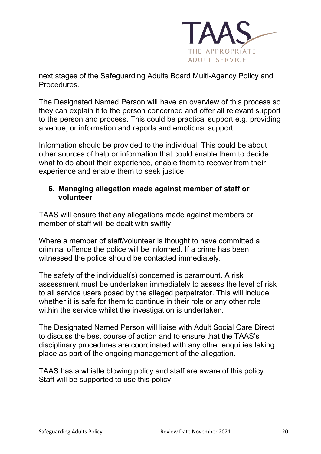

next stages of the Safeguarding Adults Board Multi-Agency Policy and Procedures.

The Designated Named Person will have an overview of this process so they can explain it to the person concerned and offer all relevant support to the person and process. This could be practical support e.g. providing a venue, or information and reports and emotional support.

Information should be provided to the individual. This could be about other sources of help or information that could enable them to decide what to do about their experience, enable them to recover from their experience and enable them to seek justice.

#### **6. Managing allegation made against member of staff or volunteer**

TAAS will ensure that any allegations made against members or member of staff will be dealt with swiftly.

Where a member of staff/volunteer is thought to have committed a criminal offence the police will be informed. If a crime has been witnessed the police should be contacted immediately.

The safety of the individual(s) concerned is paramount. A risk assessment must be undertaken immediately to assess the level of risk to all service users posed by the alleged perpetrator. This will include whether it is safe for them to continue in their role or any other role within the service whilst the investigation is undertaken.

The Designated Named Person will liaise with Adult Social Care Direct to discuss the best course of action and to ensure that the TAAS's disciplinary procedures are coordinated with any other enquiries taking place as part of the ongoing management of the allegation.

TAAS has a whistle blowing policy and staff are aware of this policy. Staff will be supported to use this policy.